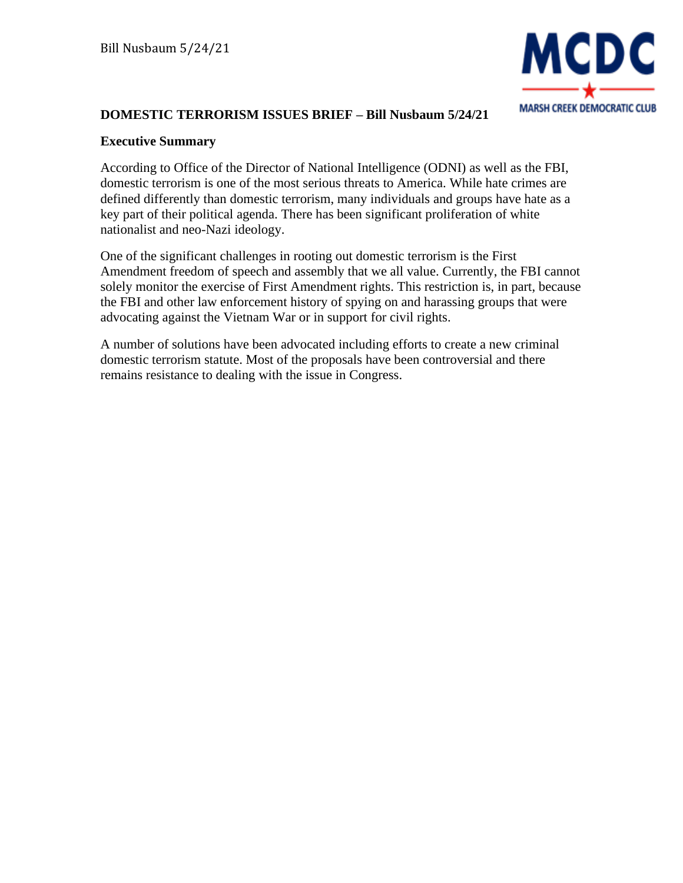

### **DOMESTIC TERRORISM ISSUES BRIEF – Bill Nusbaum 5/24/21**

#### **Executive Summary**

According to Office of the Director of National Intelligence (ODNI) as well as the FBI, domestic terrorism is one of the most serious threats to America. While hate crimes are defined differently than domestic terrorism, many individuals and groups have hate as a key part of their political agenda. There has been significant proliferation of white nationalist and neo-Nazi ideology.

One of the significant challenges in rooting out domestic terrorism is the First Amendment freedom of speech and assembly that we all value. Currently, the FBI cannot solely monitor the exercise of First Amendment rights. This restriction is, in part, because the FBI and other law enforcement history of spying on and harassing groups that were advocating against the Vietnam War or in support for civil rights.

A number of solutions have been advocated including efforts to create a new criminal domestic terrorism statute. Most of the proposals have been controversial and there remains resistance to dealing with the issue in Congress.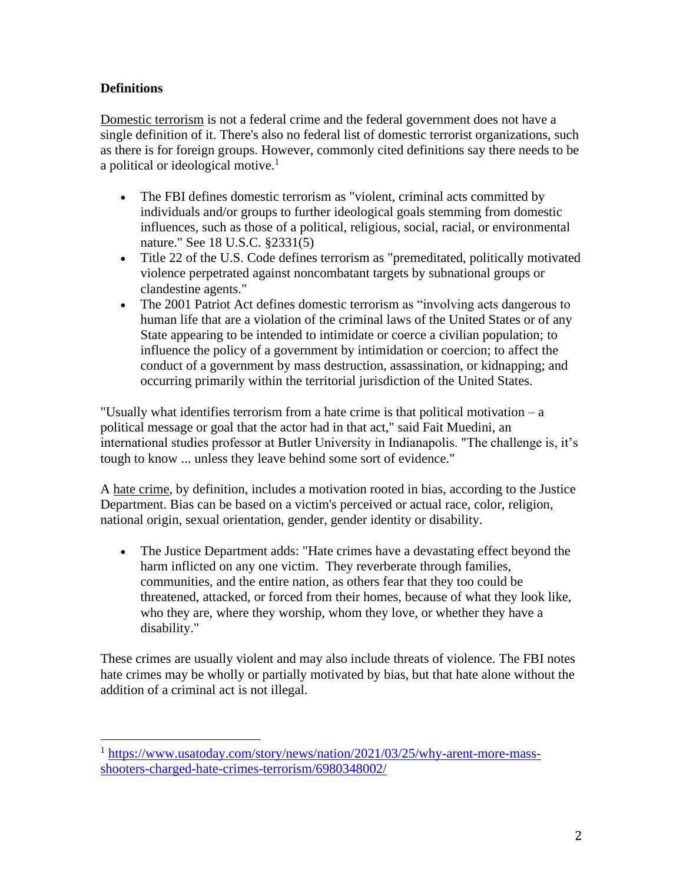# **Definitions**

Domestic terrorism is not a federal crime and the federal government does not have a single definition of it. There's also no federal list of domestic terrorist organizations, such as there is for foreign groups. However, commonly cited definitions say there needs to be a political or ideological motive.<sup>1</sup>

- The FBI defines domestic terrorism as "violent, criminal acts committed by individuals and/or groups to further ideological goals stemming from domestic influences, such as those of a political, religious, social, racial, or environmental nature." See 18 U.S.C. §2331(5)
- Title 22 of the U.S. Code defines terrorism as "premeditated, politically motivated violence perpetrated against noncombatant targets by subnational groups or clandestine agents."
- The 2001 Patriot Act defines domestic terrorism as "involving acts dangerous to human life that are a violation of the criminal laws of the United States or of any State appearing to be intended to intimidate or coerce a civilian population; to influence the policy of a government by intimidation or coercion; to affect the conduct of a government by mass destruction, assassination, or kidnapping; and occurring primarily within the territorial jurisdiction of the United States.

"Usually what identifies terrorism from a hate crime is that political motivation – a political message or goal that the actor had in that act," said Fait Muedini, an international studies professor at Butler University in Indianapolis. "The challenge is, it's tough to know ... unless they leave behind some sort of evidence."

A hate crime, by definition, includes a motivation rooted in bias, according to the Justice Department. Bias can be based on a victim's perceived or actual race, color, religion, national origin, sexual orientation, gender, gender identity or disability.

• The Justice Department adds: "Hate crimes have a devastating effect beyond the harm inflicted on any one victim. They reverberate through families, communities, and the entire nation, as others fear that they too could be threatened, attacked, or forced from their homes, because of what they look like, who they are, where they worship, whom they love, or whether they have a disability."

These crimes are usually violent and may also include threats of violence. The FBI notes hate crimes may be wholly or partially motivated by bias, but that hate alone without the addition of a criminal act is not illegal.

<sup>&</sup>lt;sup>1</sup> [https://www.usatoday.com/story/news/nation/2021/03/25/why-arent-more-mass](https://www.usatoday.com/story/news/nation/2021/03/25/why-arent-more-mass-shooters-charged-hate-crimes-terrorism/6980348002/)[shooters-charged-hate-crimes-terrorism/6980348002/](https://www.usatoday.com/story/news/nation/2021/03/25/why-arent-more-mass-shooters-charged-hate-crimes-terrorism/6980348002/)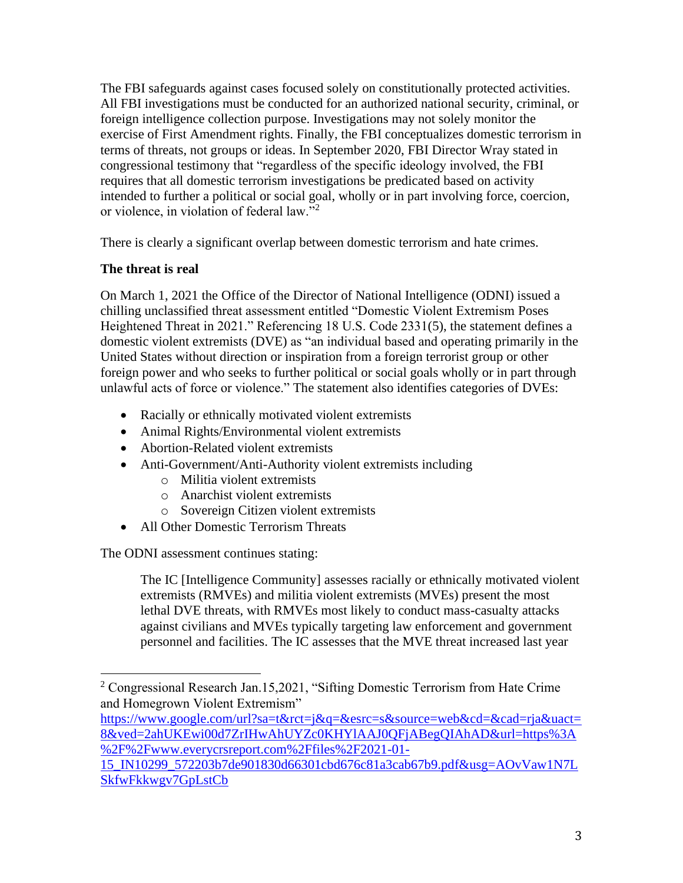The FBI safeguards against cases focused solely on constitutionally protected activities. All FBI investigations must be conducted for an authorized national security, criminal, or foreign intelligence collection purpose. Investigations may not solely monitor the exercise of First Amendment rights. Finally, the FBI conceptualizes domestic terrorism in terms of threats, not groups or ideas. In September 2020, FBI Director Wray stated in congressional testimony that "regardless of the specific ideology involved, the FBI requires that all domestic terrorism investigations be predicated based on activity intended to further a political or social goal, wholly or in part involving force, coercion, or violence, in violation of federal law."<sup>2</sup>

There is clearly a significant overlap between domestic terrorism and hate crimes.

### **The threat is real**

On March 1, 2021 the Office of the Director of National Intelligence (ODNI) issued a chilling unclassified threat assessment entitled "Domestic Violent Extremism Poses Heightened Threat in 2021." Referencing 18 U.S. Code 2331(5), the statement defines a domestic violent extremists (DVE) as "an individual based and operating primarily in the United States without direction or inspiration from a foreign terrorist group or other foreign power and who seeks to further political or social goals wholly or in part through unlawful acts of force or violence." The statement also identifies categories of DVEs:

- Racially or ethnically motivated violent extremists
- Animal Rights/Environmental violent extremists
- Abortion-Related violent extremists
- Anti-Government/Anti-Authority violent extremists including
	- o Militia violent extremists
	- o Anarchist violent extremists
	- o Sovereign Citizen violent extremists
- All Other Domestic Terrorism Threats

The ODNI assessment continues stating:

The IC [Intelligence Community] assesses racially or ethnically motivated violent extremists (RMVEs) and militia violent extremists (MVEs) present the most lethal DVE threats, with RMVEs most likely to conduct mass-casualty attacks against civilians and MVEs typically targeting law enforcement and government personnel and facilities. The IC assesses that the MVE threat increased last year

<sup>&</sup>lt;sup>2</sup> Congressional Research Jan.15,2021, "Sifting Domestic Terrorism from Hate Crime and Homegrown Violent Extremism"

[https://www.google.com/url?sa=t&rct=j&q=&esrc=s&source=web&cd=&cad=rja&uact=](https://www.google.com/url?sa=t&rct=j&q=&esrc=s&source=web&cd=&cad=rja&uact=8&ved=2ahUKEwi00d7ZrIHwAhUYZc0KHYlAAJ0QFjABegQIAhAD&url=https%3A%2F%2Fwww.everycrsreport.com%2Ffiles%2F2021-01-15_IN10299_572203b7de901830d66301cbd676c81a3cab67b9.pdf&usg=AOvVaw1N7LSkfwFkkwgv7GpLstCb) [8&ved=2ahUKEwi00d7ZrIHwAhUYZc0KHYlAAJ0QFjABegQIAhAD&url=https%3A](https://www.google.com/url?sa=t&rct=j&q=&esrc=s&source=web&cd=&cad=rja&uact=8&ved=2ahUKEwi00d7ZrIHwAhUYZc0KHYlAAJ0QFjABegQIAhAD&url=https%3A%2F%2Fwww.everycrsreport.com%2Ffiles%2F2021-01-15_IN10299_572203b7de901830d66301cbd676c81a3cab67b9.pdf&usg=AOvVaw1N7LSkfwFkkwgv7GpLstCb) [%2F%2Fwww.everycrsreport.com%2Ffiles%2F2021-01-](https://www.google.com/url?sa=t&rct=j&q=&esrc=s&source=web&cd=&cad=rja&uact=8&ved=2ahUKEwi00d7ZrIHwAhUYZc0KHYlAAJ0QFjABegQIAhAD&url=https%3A%2F%2Fwww.everycrsreport.com%2Ffiles%2F2021-01-15_IN10299_572203b7de901830d66301cbd676c81a3cab67b9.pdf&usg=AOvVaw1N7LSkfwFkkwgv7GpLstCb)

[<sup>15</sup>\\_IN10299\\_572203b7de901830d66301cbd676c81a3cab67b9.pdf&usg=AOvVaw1N7L](https://www.google.com/url?sa=t&rct=j&q=&esrc=s&source=web&cd=&cad=rja&uact=8&ved=2ahUKEwi00d7ZrIHwAhUYZc0KHYlAAJ0QFjABegQIAhAD&url=https%3A%2F%2Fwww.everycrsreport.com%2Ffiles%2F2021-01-15_IN10299_572203b7de901830d66301cbd676c81a3cab67b9.pdf&usg=AOvVaw1N7LSkfwFkkwgv7GpLstCb) [SkfwFkkwgv7GpLstCb](https://www.google.com/url?sa=t&rct=j&q=&esrc=s&source=web&cd=&cad=rja&uact=8&ved=2ahUKEwi00d7ZrIHwAhUYZc0KHYlAAJ0QFjABegQIAhAD&url=https%3A%2F%2Fwww.everycrsreport.com%2Ffiles%2F2021-01-15_IN10299_572203b7de901830d66301cbd676c81a3cab67b9.pdf&usg=AOvVaw1N7LSkfwFkkwgv7GpLstCb)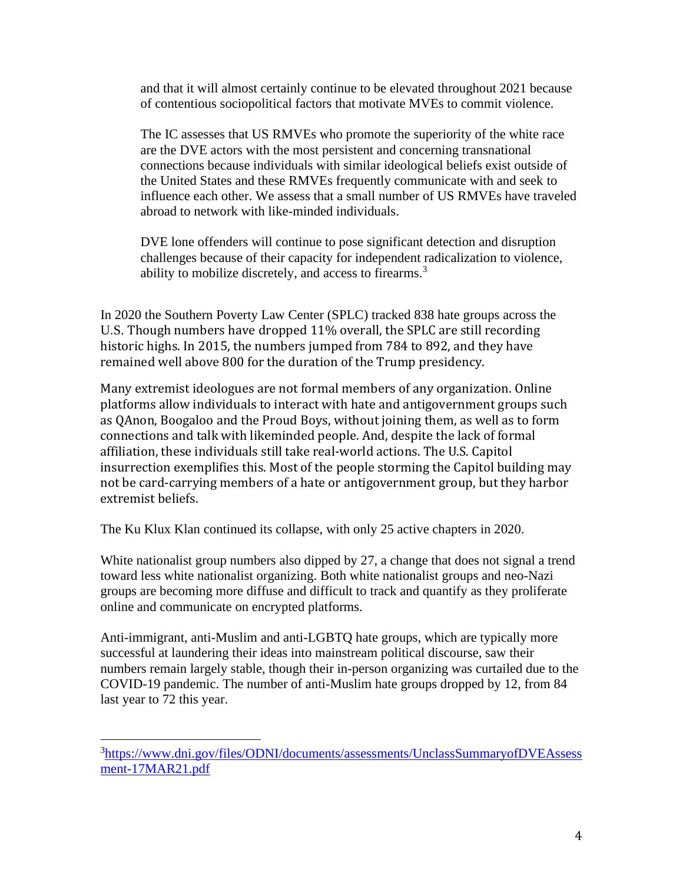and that it will almost certainly continue to be elevated throughout 2021 because of contentious sociopolitical factors that motivate MVEs to commit violence.

The IC assesses that US RMVEs who promote the superiority of the white race are the DVE actors with the most persistent and concerning transnational connections because individuals with similar ideological beliefs exist outside of the United States and these RMVEs frequently communicate with and seek to influence each other. We assess that a small number of US RMVEs have traveled abroad to network with like-minded individuals.

DVE lone offenders will continue to pose significant detection and disruption challenges because of their capacity for independent radicalization to violence, ability to mobilize discretely, and access to firearms.<sup>3</sup>

In 2020 the Southern Poverty Law Center (SPLC) tracked 838 hate groups across the U.S. Though numbers have dropped 11% overall, the SPLC are still recording historic highs. In 2015, the numbers jumped from 784 to 892, and they have remained well above 800 for the duration of the Trump presidency.

Many extremist ideologues are not formal members of any organization. Online platforms allow individuals to interact with hate and antigovernment groups such as QAnon, Boogaloo and the Proud Boys, without joining them, as well as to form connections and talk with likeminded people. And, despite the lack of formal affiliation, these individuals still take real-world actions. The U.S. Capitol insurrection exemplifies this. Most of the people storming the Capitol building may not be card-carrying members of a hate or antigovernment group, but they harbor extremist beliefs.

The Ku Klux Klan continued its collapse, with only 25 active chapters in 2020.

White nationalist group numbers also dipped by 27, a change that does not signal a trend toward less white nationalist organizing. Both white nationalist groups and neo-Nazi groups are becoming more diffuse and difficult to track and quantify as they proliferate online and communicate on encrypted platforms.

Anti-immigrant, anti-Muslim and anti-LGBTQ hate groups, which are typically more successful at laundering their ideas into mainstream political discourse, saw their numbers remain largely stable, though their in-person organizing was curtailed due to the COVID-19 pandemic. The number of anti-Muslim hate groups dropped by 12, from 84 last year to 72 this year.

<sup>&</sup>lt;sup>3</sup>[https://www.dni.gov/files/ODNI/documents/assessments/UnclassSummaryofDVEAssess](https://www.dni.gov/files/ODNI/documents/assessments/UnclassSummaryofDVEAssessment-17MAR21.pdf) [ment-17MAR21.pdf](https://www.dni.gov/files/ODNI/documents/assessments/UnclassSummaryofDVEAssessment-17MAR21.pdf)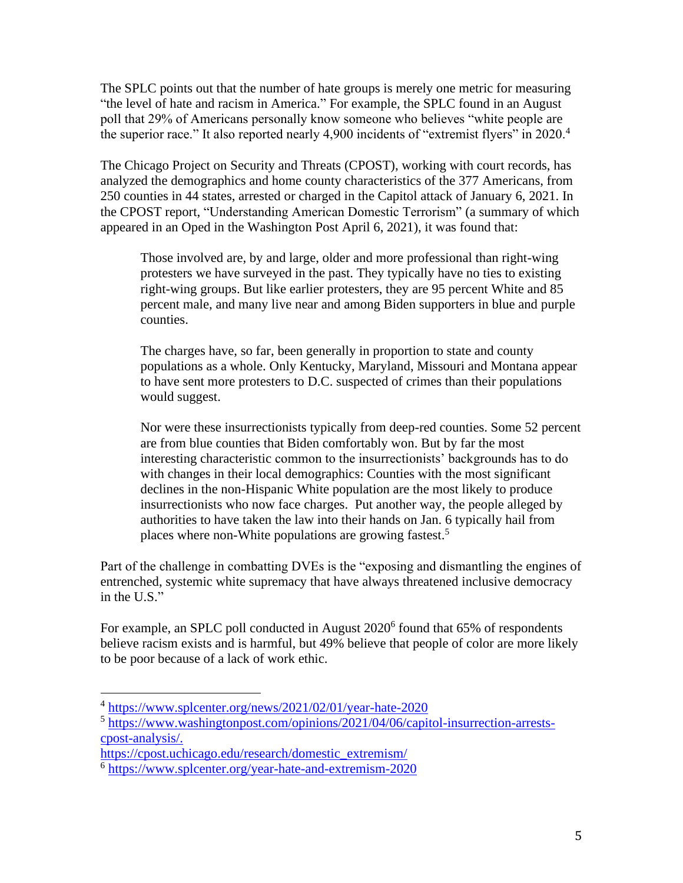The SPLC points out that the number of hate groups is merely one metric for measuring "the level of hate and racism in America." For example, the SPLC found in an August poll that 29% of Americans personally know someone who believes "white people are the superior race." It also reported nearly 4,900 incidents of "extremist flyers" in 2020.<sup>4</sup>

The Chicago Project on Security and Threats (CPOST), working with court records, has analyzed the demographics and home county characteristics of the 377 Americans, from 250 counties in 44 states, arrested or charged in the Capitol attack of January 6, 2021. In the CPOST report, "Understanding American Domestic Terrorism" (a summary of which appeared in an Oped in the Washington Post April 6, 2021), it was found that:

Those involved are, by and large, older and more professional than right-wing protesters we have surveyed in the past. They typically have no ties to existing right-wing groups. But like earlier protesters, they are 95 percent White and 85 percent male, and many live near and among Biden supporters in blue and purple counties.

The charges have, so far, been generally in proportion to state and county populations as a whole. Only Kentucky, Maryland, Missouri and Montana appear to have sent more protesters to D.C. suspected of crimes than their populations would suggest.

Nor were these insurrectionists typically from deep-red counties. Some 52 percent are from blue counties that Biden comfortably won. But by far the most interesting characteristic common to the insurrectionists' backgrounds has to do with changes in their local demographics: Counties with the most significant declines in the non-Hispanic White population are the most likely to produce insurrectionists who now face charges. Put another way, the people alleged by authorities to have taken the law into their hands on Jan. 6 typically hail from places where non-White populations are growing fastest.<sup>5</sup>

Part of the challenge in combatting DVEs is the "exposing and dismantling the engines of entrenched, systemic white supremacy that have always threatened inclusive democracy in the U.S."

For example, an SPLC poll conducted in August 2020<sup>6</sup> found that 65% of respondents believe racism exists and is harmful, but 49% believe that people of color are more likely to be poor because of a lack of work ethic.

<sup>&</sup>lt;sup>4</sup> <https://www.splcenter.org/news/2021/02/01/year-hate-2020>

<sup>&</sup>lt;sup>5</sup> [https://www.washingtonpost.com/opinions/2021/04/06/capitol-insurrection-arrests](https://www.washingtonpost.com/opinions/2021/04/06/capitol-insurrection-arrests-cpost-analysis/)[cpost-analysis/.](https://www.washingtonpost.com/opinions/2021/04/06/capitol-insurrection-arrests-cpost-analysis/)

[https://cpost.uchicago.edu/research/domestic\\_extremism/](https://cpost.uchicago.edu/research/domestic_extremism/)

<sup>&</sup>lt;sup>6</sup> <https://www.splcenter.org/year-hate-and-extremism-2020>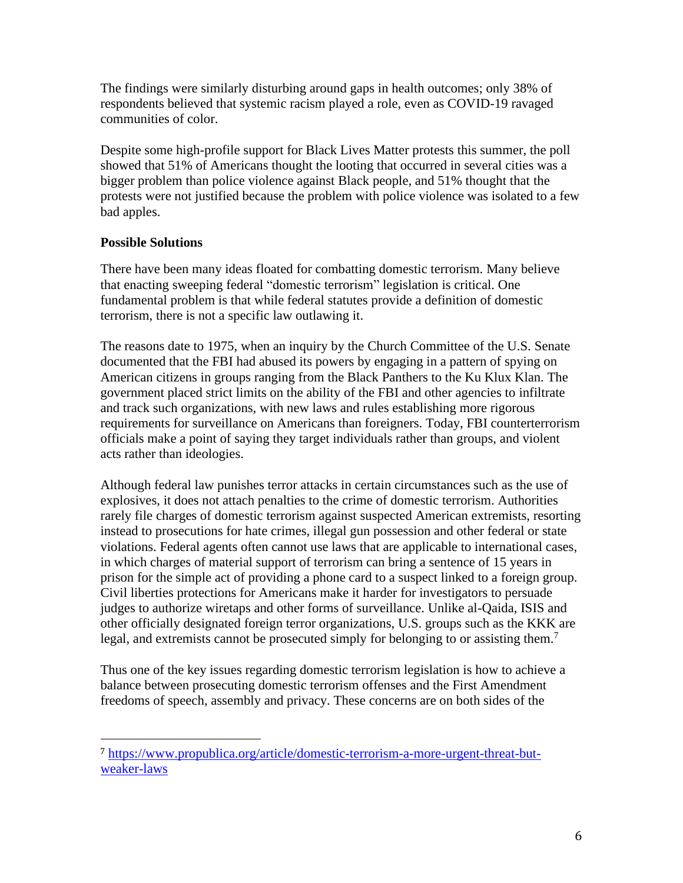The findings were similarly disturbing around gaps in health outcomes; only 38% of respondents believed that systemic racism played a role, even as COVID-19 ravaged communities of color.

Despite some high-profile support for Black Lives Matter protests this summer, the poll showed that 51% of Americans thought the looting that occurred in several cities was a bigger problem than police violence against Black people, and 51% thought that the protests were not justified because the problem with police violence was isolated to a few bad apples.

### **Possible Solutions**

There have been many ideas floated for combatting domestic terrorism. Many believe that enacting sweeping federal "domestic terrorism" legislation is critical. One fundamental problem is that while federal statutes provide a definition of domestic terrorism, there is not a specific law outlawing it.

The reasons date to 1975, when an inquiry by the Church Committee of the U.S. Senate documented that the FBI had abused its powers by engaging in a pattern of spying on American citizens in groups ranging from the Black Panthers to the Ku Klux Klan. The government placed strict limits on the ability of the FBI and other agencies to infiltrate and track such organizations, with new laws and rules establishing more rigorous requirements for surveillance on Americans than foreigners. Today, FBI counterterrorism officials make a point of saying they target individuals rather than groups, and violent acts rather than ideologies.

Although federal law punishes terror attacks in certain circumstances such as the use of explosives, it does not attach penalties to the crime of domestic terrorism. Authorities rarely file charges of domestic terrorism against suspected American extremists, resorting instead to prosecutions for hate crimes, illegal gun possession and other federal or state violations. Federal agents often cannot use laws that are applicable to international cases, in which charges of material support of terrorism can bring a sentence of 15 years in prison for the simple act of providing a phone card to a suspect linked to a foreign group. Civil liberties protections for Americans make it harder for investigators to persuade judges to authorize wiretaps and other forms of surveillance. Unlike al-Qaida, ISIS and other officially designated foreign terror organizations, U.S. groups such as the KKK are legal, and extremists cannot be prosecuted simply for belonging to or assisting them.<sup>7</sup>

Thus one of the key issues regarding domestic terrorism legislation is how to achieve a balance between prosecuting domestic terrorism offenses and the First Amendment freedoms of speech, assembly and privacy. These concerns are on both sides of the

<sup>7</sup> [https://www.propublica.org/article/domestic-terrorism-a-more-urgent-threat-but](https://www.propublica.org/article/domestic-terrorism-a-more-urgent-threat-but-weaker-laws)[weaker-laws](https://www.propublica.org/article/domestic-terrorism-a-more-urgent-threat-but-weaker-laws)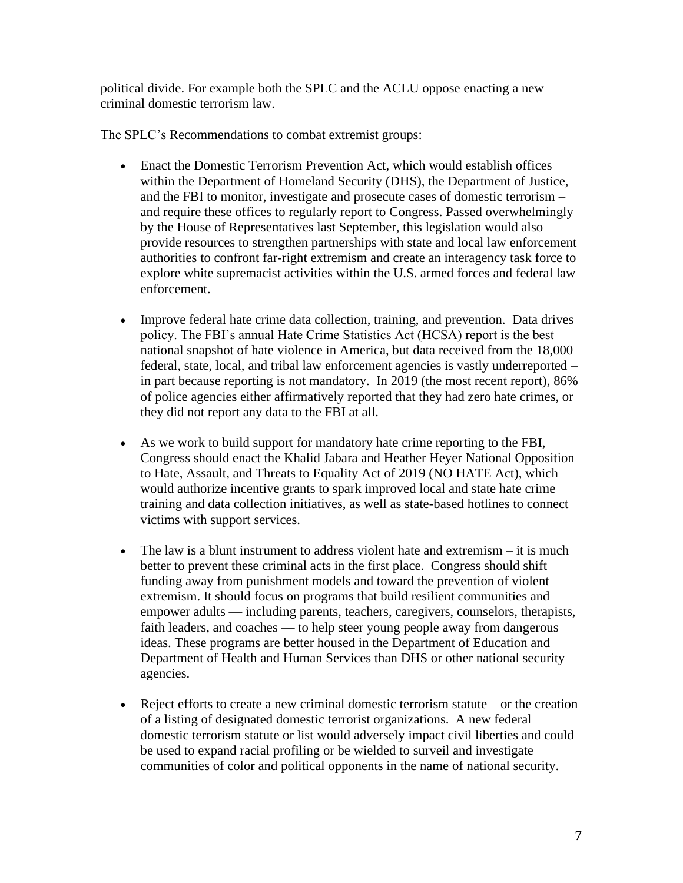political divide. For example both the SPLC and the ACLU oppose enacting a new criminal domestic terrorism law.

The SPLC's Recommendations to combat extremist groups:

- Enact the Domestic Terrorism Prevention Act, which would establish offices within the Department of Homeland Security (DHS), the Department of Justice, and the FBI to monitor, investigate and prosecute cases of domestic terrorism – and require these offices to regularly report to Congress. Passed overwhelmingly by the House of Representatives last September, this legislation would also provide resources to strengthen partnerships with state and local law enforcement authorities to confront far-right extremism and create an interagency task force to explore white supremacist activities within the U.S. armed forces and federal law enforcement.
- Improve federal hate crime data collection, training, and prevention. Data drives policy. The FBI's annual Hate Crime Statistics Act (HCSA) report is the best national snapshot of hate violence in America, but data received from the 18,000 federal, state, local, and tribal law enforcement agencies is vastly underreported – in part because reporting is not mandatory. In 2019 (the most recent report), 86% of police agencies either affirmatively reported that they had zero hate crimes, or they did not report any data to the FBI at all.
- As we work to build support for mandatory hate crime reporting to the FBI, Congress should enact the Khalid Jabara and Heather Heyer National Opposition to Hate, Assault, and Threats to Equality Act of 2019 (NO HATE Act), which would authorize incentive grants to spark improved local and state hate crime training and data collection initiatives, as well as state-based hotlines to connect victims with support services.
- The law is a blunt instrument to address violent hate and extremism it is much better to prevent these criminal acts in the first place. Congress should shift funding away from punishment models and toward the prevention of violent extremism. It should focus on programs that build resilient communities and empower adults — including parents, teachers, caregivers, counselors, therapists, faith leaders, and coaches — to help steer young people away from dangerous ideas. These programs are better housed in the Department of Education and Department of Health and Human Services than DHS or other national security agencies.
- Reject efforts to create a new criminal domestic terrorism statute or the creation of a listing of designated domestic terrorist organizations. A new federal domestic terrorism statute or list would adversely impact civil liberties and could be used to expand racial profiling or be wielded to surveil and investigate communities of color and political opponents in the name of national security.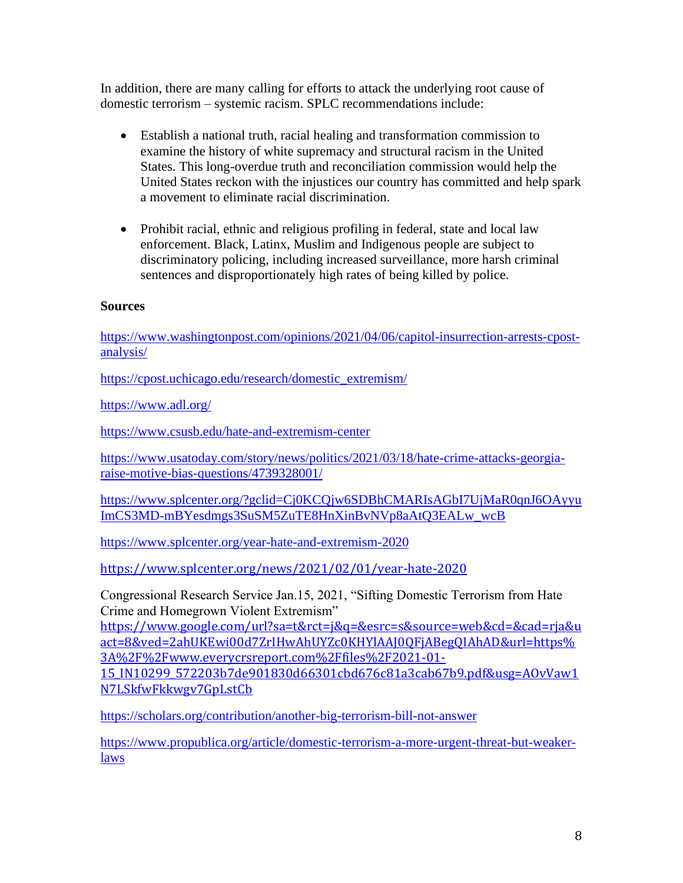In addition, there are many calling for efforts to attack the underlying root cause of domestic terrorism – systemic racism. SPLC recommendations include:

- Establish a national truth, racial healing and transformation commission to examine the history of white supremacy and structural racism in the United States. This long-overdue truth and reconciliation commission would help the United States reckon with the injustices our country has committed and help spark a movement to eliminate racial discrimination.
- Prohibit racial, ethnic and religious profiling in federal, state and local law enforcement. Black, Latinx, Muslim and Indigenous people are subject to discriminatory policing, including increased surveillance, more harsh criminal sentences and disproportionately high rates of being killed by police.

#### **Sources**

[https://www.washingtonpost.com/opinions/2021/04/06/capitol-insurrection-arrests-cpost](https://www.washingtonpost.com/opinions/2021/04/06/capitol-insurrection-arrests-cpost-analysis/)[analysis/](https://www.washingtonpost.com/opinions/2021/04/06/capitol-insurrection-arrests-cpost-analysis/)

[https://cpost.uchicago.edu/research/domestic\\_extremism/](https://cpost.uchicago.edu/research/domestic_extremism/)

<https://www.adl.org/>

<https://www.csusb.edu/hate-and-extremism-center>

[https://www.usatoday.com/story/news/politics/2021/03/18/hate-crime-attacks-georgia](https://www.usatoday.com/story/news/politics/2021/03/18/hate-crime-attacks-georgia-raise-motive-bias-questions/4739328001/)[raise-motive-bias-questions/4739328001/](https://www.usatoday.com/story/news/politics/2021/03/18/hate-crime-attacks-georgia-raise-motive-bias-questions/4739328001/)

[https://www.splcenter.org/?gclid=Cj0KCQjw6SDBhCMARIsAGbI7UjMaR0qnJ6OAyyu](https://www.splcenter.org/?gclid=Cj0KCQjw6-SDBhCMARIsAGbI7UjMaR0qnJ6OAyyuImCS3MD-mBYesdmgs3SuSM5ZuTE8HnXinBvNVp8aAtQ3EALw_wcB) [ImCS3MD-mBYesdmgs3SuSM5ZuTE8HnXinBvNVp8aAtQ3EALw\\_wcB](https://www.splcenter.org/?gclid=Cj0KCQjw6-SDBhCMARIsAGbI7UjMaR0qnJ6OAyyuImCS3MD-mBYesdmgs3SuSM5ZuTE8HnXinBvNVp8aAtQ3EALw_wcB)

<https://www.splcenter.org/year-hate-and-extremism-2020>

<https://www.splcenter.org/news/2021/02/01/year-hate-2020>

Congressional Research Service Jan.15, 2021, "Sifting Domestic Terrorism from Hate Crime and Homegrown Violent Extremism"

[https://www.google.com/url?sa=t&rct=j&q=&esrc=s&source=web&cd=&cad=rja&u](https://www.google.com/url?sa=t&rct=j&q=&esrc=s&source=web&cd=&cad=rja&uact=8&ved=2ahUKEwi00d7ZrIHwAhUYZc0KHYlAAJ0QFjABegQIAhAD&url=https%3A%2F%2Fwww.everycrsreport.com%2Ffiles%2F2021-01-15_IN10299_572203b7de901830d66301cbd676c81a3cab67b9.pdf&usg=AOvVaw1N7LSkfwFkkwgv7GpLstCb) [act=8&ved=2ahUKEwi00d7ZrIHwAhUYZc0KHYlAAJ0QFjABegQIAhAD&url=https%](https://www.google.com/url?sa=t&rct=j&q=&esrc=s&source=web&cd=&cad=rja&uact=8&ved=2ahUKEwi00d7ZrIHwAhUYZc0KHYlAAJ0QFjABegQIAhAD&url=https%3A%2F%2Fwww.everycrsreport.com%2Ffiles%2F2021-01-15_IN10299_572203b7de901830d66301cbd676c81a3cab67b9.pdf&usg=AOvVaw1N7LSkfwFkkwgv7GpLstCb) [3A%2F%2Fwww.everycrsreport.com%2Ffiles%2F2021-01-](https://www.google.com/url?sa=t&rct=j&q=&esrc=s&source=web&cd=&cad=rja&uact=8&ved=2ahUKEwi00d7ZrIHwAhUYZc0KHYlAAJ0QFjABegQIAhAD&url=https%3A%2F%2Fwww.everycrsreport.com%2Ffiles%2F2021-01-15_IN10299_572203b7de901830d66301cbd676c81a3cab67b9.pdf&usg=AOvVaw1N7LSkfwFkkwgv7GpLstCb)

[15\\_IN10299\\_572203b7de901830d66301cbd676c81a3cab67b9.pdf&usg=AOvVaw1](https://www.google.com/url?sa=t&rct=j&q=&esrc=s&source=web&cd=&cad=rja&uact=8&ved=2ahUKEwi00d7ZrIHwAhUYZc0KHYlAAJ0QFjABegQIAhAD&url=https%3A%2F%2Fwww.everycrsreport.com%2Ffiles%2F2021-01-15_IN10299_572203b7de901830d66301cbd676c81a3cab67b9.pdf&usg=AOvVaw1N7LSkfwFkkwgv7GpLstCb) [N7LSkfwFkkwgv7GpLstCb](https://www.google.com/url?sa=t&rct=j&q=&esrc=s&source=web&cd=&cad=rja&uact=8&ved=2ahUKEwi00d7ZrIHwAhUYZc0KHYlAAJ0QFjABegQIAhAD&url=https%3A%2F%2Fwww.everycrsreport.com%2Ffiles%2F2021-01-15_IN10299_572203b7de901830d66301cbd676c81a3cab67b9.pdf&usg=AOvVaw1N7LSkfwFkkwgv7GpLstCb)

<https://scholars.org/contribution/another-big-terrorism-bill-not-answer>

[https://www.propublica.org/article/domestic-terrorism-a-more-urgent-threat-but-weaker](https://www.propublica.org/article/domestic-terrorism-a-more-urgent-threat-but-weaker-laws)[laws](https://www.propublica.org/article/domestic-terrorism-a-more-urgent-threat-but-weaker-laws)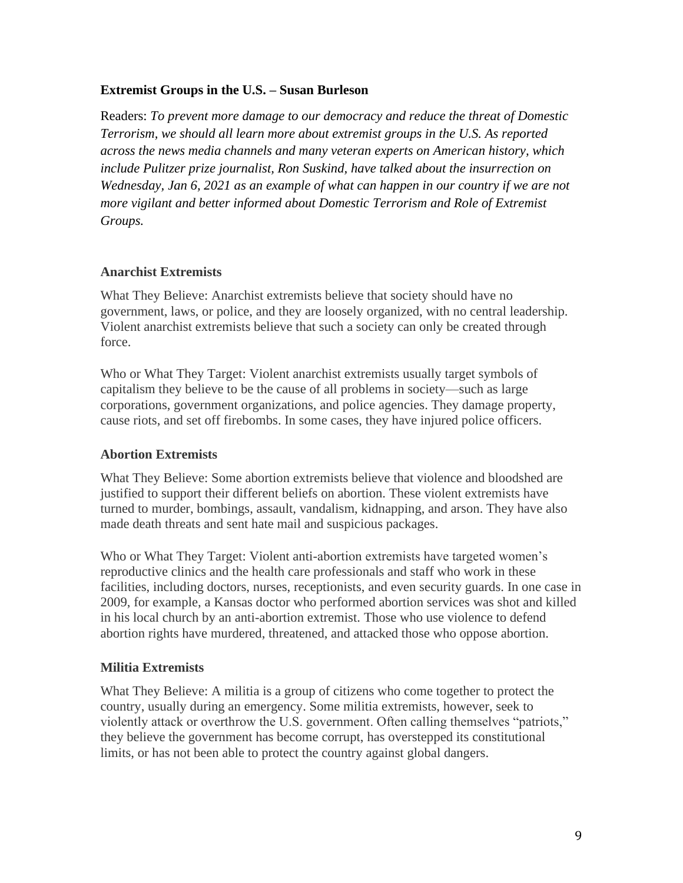#### **Extremist Groups in the U.S. – Susan Burleson**

Readers: *To prevent more damage to our democracy and reduce the threat of Domestic Terrorism, we should all learn more about extremist groups in the U.S. As reported across the news media channels and many veteran experts on American history, which include Pulitzer prize journalist, Ron Suskind, have talked about the insurrection on Wednesday, Jan 6, 2021 as an example of what can happen in our country if we are not more vigilant and better informed about Domestic Terrorism and Role of Extremist Groups.* 

#### **Anarchist Extremists**

What They Believe: Anarchist extremists believe that society should have no government, laws, or police, and they are loosely organized, with no central leadership. Violent anarchist extremists believe that such a society can only be created through force.

Who or What They Target: Violent anarchist extremists usually target symbols of capitalism they believe to be the cause of all problems in society—such as large corporations, government organizations, and police agencies. They damage property, cause riots, and set off firebombs. In some cases, they have injured police officers.

#### **Abortion Extremists**

What They Believe: Some abortion extremists believe that violence and bloodshed are justified to support their different beliefs on abortion. These violent extremists have turned to murder, bombings, assault, vandalism, kidnapping, and arson. They have also made death threats and sent hate mail and suspicious packages.

Who or What They Target: Violent anti-abortion extremists have targeted women's reproductive clinics and the health care professionals and staff who work in these facilities, including doctors, nurses, receptionists, and even security guards. In one case in 2009, for example, a Kansas doctor who performed abortion services was shot and killed in his local church by an anti-abortion extremist. Those who use violence to defend abortion rights have murdered, threatened, and attacked those who oppose abortion.

#### **Militia Extremists**

What They Believe: A militia is a group of citizens who come together to protect the country, usually during an emergency. Some militia extremists, however, seek to violently attack or overthrow the U.S. government. Often calling themselves "patriots," they believe the government has become corrupt, has overstepped its constitutional limits, or has not been able to protect the country against global dangers.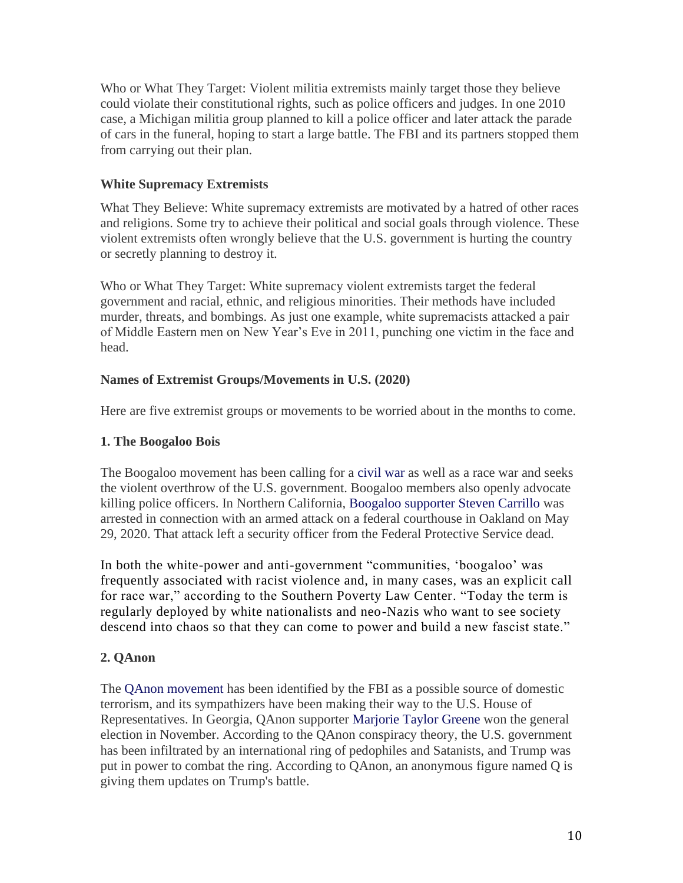Who or What They Target: Violent militia extremists mainly target those they believe could violate their constitutional rights, such as police officers and judges. In one 2010 case, a Michigan militia group planned to kill a police officer and later attack the parade of cars in the funeral, hoping to start a large battle. The FBI and its partners stopped them from carrying out their plan.

# **White Supremacy Extremists**

What They Believe: White supremacy extremists are motivated by a hatred of other races and religions. Some try to achieve their political and social goals through violence. These violent extremists often wrongly believe that the U.S. government is hurting the country or secretly planning to destroy it.

Who or What They Target: White supremacy violent extremists target the federal government and racial, ethnic, and religious minorities. Their methods have included murder, threats, and bombings. As just one example, white supremacists attacked a pair of Middle Eastern men on New Year's Eve in 2011, punching one victim in the face and head.

# **Names of Extremist Groups/Movements in U.S. (2020)**

Here are five extremist groups or movements to be worried about in the months to come.

### **1. The Boogaloo Bois**

The Boogaloo movement has been calling for a [civil war](https://www.nbcnews.com/tech/social-media/what-boogaloo-how-online-calls-violent-uprising-are-getting-organized-n1138461) as well as a race war and seeks the violent overthrow of the U.S. government. Boogaloo members also openly advocate killing police officers. In Northern California, [Boogaloo supporter Steven Carrillo](https://abc7news.com/steven-carrillo-santa-cruz-boogaloo-pat-underwood-oakland-federal-officer/6317728/) was arrested in connection with an armed attack on a federal courthouse in Oakland on May 29, 2020. That attack left a security officer from the Federal Protective Service dead.

In both the white-power and anti-government "communities, 'boogaloo' was frequently associated with racist violence and, in many cases, was an explicit call for race war," according to the Southern Poverty Law Center. "Today the term is regularly deployed by white nationalists and neo-Nazis who want to see society descend into chaos so that they can come to power and build a new fascist state."

# **2. QAnon**

The [QAnon movement](https://www.npr.org/2020/10/02/919123199/house-votes-to-condemn-qanon-conspiracy-movement) has been identified by the FBI as a possible source of domestic terrorism, and its sympathizers have been making their way to the U.S. House of Representatives. In Georgia, QAnon supporter [Marjorie Taylor Greene](https://www.alternet.org/2020/08/how-a-qanon-conspiracy-theorist-won-a-georgia-gop-congressional-primary-battle-with-the-help-of-mark-meadows-and-jim-jordan/) won the general election in November. According to the QAnon conspiracy theory, the U.S. government has been infiltrated by an international ring of pedophiles and Satanists, and Trump was put in power to combat the ring. According to QAnon, an anonymous figure named Q is giving them updates on Trump's battle.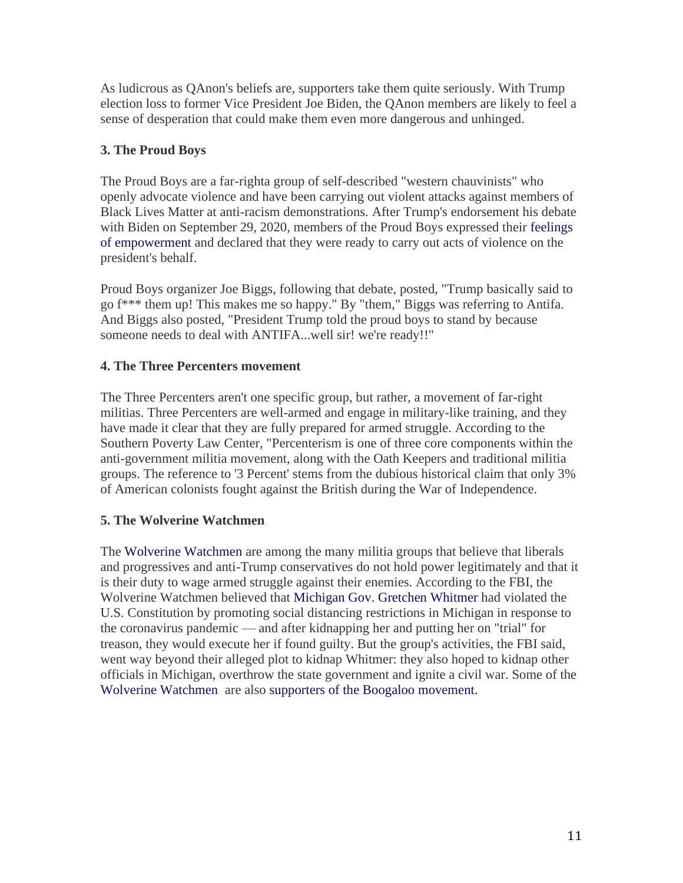As ludicrous as QAnon's beliefs are, supporters take them quite seriously. With Trump election loss to former Vice President Joe Biden, the QAnon members are likely to feel a sense of desperation that could make them even more dangerous and unhinged.

# **3. The Proud Boys**

The Proud Boys are a far-righta group of self-described "western chauvinists" who openly advocate violence and have been carrying out violent attacks against members of Black Lives Matter at anti-racism demonstrations. After Trump's endorsement his debate with Biden on September 29, 2020, members of the Proud Boys expressed their [feelings](https://www.alternet.org/2020/09/the-proud-boys-are-celebrating-trumps-frightening-expression-of-solidarity-with-the-violent-far-right-group-report/)  [of empowerment](https://www.alternet.org/2020/09/the-proud-boys-are-celebrating-trumps-frightening-expression-of-solidarity-with-the-violent-far-right-group-report/) and declared that they were ready to carry out acts of violence on the president's behalf.

Proud Boys organizer Joe Biggs, following that debate, posted, "Trump basically said to go f\*\*\* them up! This makes me so happy." By "them," Biggs was referring to Antifa. And Biggs also posted, "President Trump told the proud boys to stand by because someone needs to deal with ANTIFA...well sir! we're ready!!"

# **4. The Three Percenters movement**

The Three Percenters aren't one specific group, but rather, a movement of far-right militias. Three Percenters are well-armed and engage in military-like training, and they have made it clear that they are fully prepared for armed struggle. According to the Southern Poverty Law Center, "Percenterism is one of three core components within the anti-government militia movement, along with the Oath Keepers and traditional militia groups. The reference to '3 Percent' stems from the dubious historical claim that only 3% of American colonists fought against the British during the War of Independence.

# **5. The Wolverine Watchmen**

The [Wolverine Watchmen](https://www.thedailybeast.com/what-we-know-about-wolverine-watchmen-accused-of-terror-kidnap-plot-against-michigan-gov-gretchen-whitmer) are among the many militia groups that believe that liberals and progressives and anti-Trump conservatives do not hold power legitimately and that it is their duty to wage armed struggle against their enemies. According to the FBI, the Wolverine Watchmen believed that Michigan Gov. Gretchen Whitmer had violated the U.S. Constitution by promoting social distancing restrictions in Michigan in response to the coronavirus pandemic — and after kidnapping her and putting her on "trial" for treason, they would execute her if found guilty. But the group's activities, the FBI said, went way beyond their alleged plot to kidnap Whitmer: they also hoped to kidnap other officials in Michigan, overthrow the state government and ignite a civil war. Some of the [Wolverine Watchmen](https://www.thedailybeast.com/what-we-know-about-wolverine-watchmen-accused-of-terror-kidnap-plot-against-michigan-gov-gretchen-whitmer) are also [supporters of the Boogaloo movement.](https://www.nbcnews.com/tech/tech-news/whitmer-conspiracy-allegations-tied-boogaloo-movement-n1242670)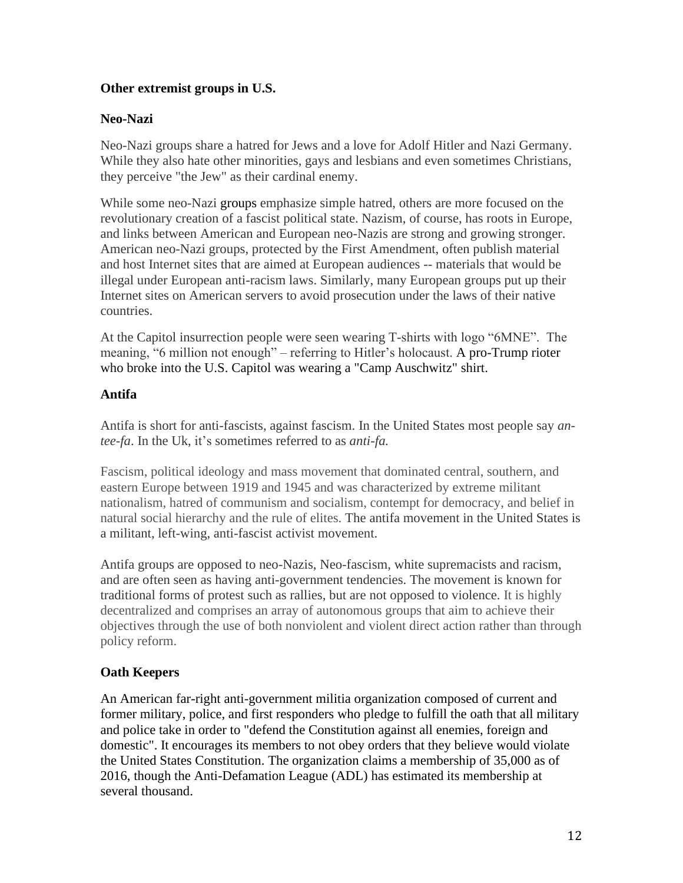# **Other extremist groups in U.S.**

# **Neo-Nazi**

Neo-Nazi groups share a hatred for Jews and a love for Adolf Hitler and Nazi Germany. While they also hate other minorities, gays and lesbians and even sometimes Christians, they perceive "the Jew" as their cardinal enemy.

While some neo-Nazi groups emphasize simple hatred, others are more focused on the revolutionary creation of a fascist political state. Nazism, of course, has roots in Europe, and links between American and European neo-Nazis are strong and growing stronger. American neo-Nazi groups, protected by the First Amendment, often publish material and host Internet sites that are aimed at European audiences -- materials that would be illegal under European anti-racism laws. Similarly, many European groups put up their Internet sites on American servers to avoid prosecution under the laws of their native countries.

At the Capitol insurrection people were seen wearing T-shirts with logo "6MNE". The meaning, "6 million not enough" – referring to Hitler's holocaust. A pro-Trump rioter who broke into the U.S. Capitol was wearing a "Camp Auschwitz" shirt.

### **Antifa**

Antifa is short for anti-fascists, against fascism. In the United States most people say *antee-fa*. In the Uk, it's sometimes referred to as *anti-fa.*

Fascism, political ideology and mass movement that dominated central, southern, and eastern Europe between 1919 and 1945 and was characterized by extreme militant nationalism, hatred of communism and socialism, contempt for democracy, and belief in natural social hierarchy and the rule of elites. The antifa movement in the United States is a militant, left-wing, anti-fascist activist movement.

Antifa groups are opposed to neo-Nazis, Neo-fascism, white supremacists and racism, and are often seen as having anti-government tendencies. The movement is known for traditional forms of protest such as rallies, but are not opposed to violence. It is highly decentralized and comprises an array of autonomous groups that aim to achieve their objectives through the use of both nonviolent and violent direct action rather than through policy reform.

# **Oath Keepers**

An American far-right anti-government militia organization composed of current and former military, police, and [first responders](https://en.wikipedia.org/wiki/First_responder) who pledge to fulfill the oath that all military and police take in order to "defend the Constitution against all enemies, foreign and domestic". It encourages its members to not obey orders that they believe would violate the [United States Constitution.](https://en.wikipedia.org/wiki/United_States_Constitution) The organization claims a membership of 35,000 as of 2016, though the Anti-Defamation League (ADL) has estimated its membership at several thousand.